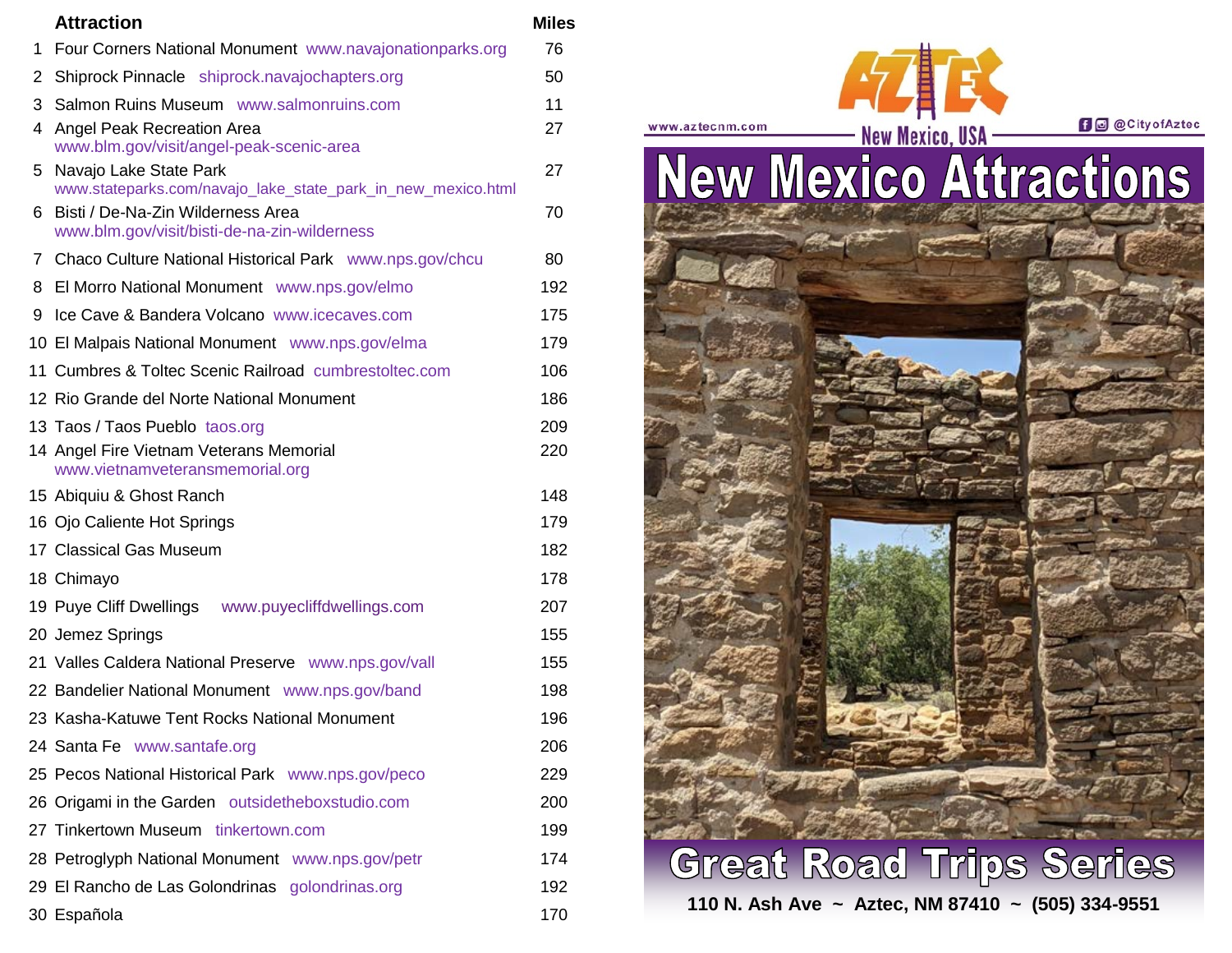|                | <b>Attraction</b>                                                                      | <b>Miles</b> |
|----------------|----------------------------------------------------------------------------------------|--------------|
| 1.             | Four Corners National Monument www.navajonationparks.org                               | 76           |
| 2              | Shiprock Pinnacle shiprock.navajochapters.org                                          | 50           |
| 3              | Salmon Ruins Museum www.salmonruins.com                                                | 11           |
| 4              | Angel Peak Recreation Area<br>www.blm.gov/visit/angel-peak-scenic-area                 | 27           |
| 5.             | Navajo Lake State Park<br>www.stateparks.com/navajo_lake_state_park_in_new_mexico.html | 27           |
| 6              | Bisti / De-Na-Zin Wilderness Area<br>www.blm.gov/visit/bisti-de-na-zin-wilderness      | 70           |
| $7\phantom{0}$ | Chaco Culture National Historical Park www.nps.gov/chcu                                | 80           |
| 8              | El Morro National Monument www.nps.gov/elmo                                            | 192          |
| 9              | Ice Cave & Bandera Volcano www.icecaves.com                                            | 175          |
|                | 10 El Malpais National Monument www.nps.gov/elma                                       | 179          |
|                | 11 Cumbres & Toltec Scenic Railroad cumbrestoltec.com                                  | 106          |
|                | 12 Rio Grande del Norte National Monument                                              | 186          |
|                | 13 Taos / Taos Pueblo taos.org                                                         | 209          |
|                | 14 Angel Fire Vietnam Veterans Memorial<br>www.vietnamveteransmemorial.org             | 220          |
|                | 15 Abiquiu & Ghost Ranch                                                               | 148          |
|                | 16 Ojo Caliente Hot Springs                                                            | 179          |
|                | 17 Classical Gas Museum                                                                | 182          |
|                | 18 Chimayo                                                                             | 178          |
|                | 19 Puye Cliff Dwellings<br>www.puyecliffdwellings.com                                  | 207          |
|                | 20 Jemez Springs                                                                       | 155          |
|                | 21 Valles Caldera National Preserve www.nps.gov/vall                                   | 155          |
|                | 22 Bandelier National Monument www.nps.gov/band                                        | 198          |
|                | 23 Kasha-Katuwe Tent Rocks National Monument                                           | 196          |
|                | 24 Santa Fe www.santafe.org                                                            | 206          |
|                | 25 Pecos National Historical Park www.nps.gov/peco                                     | 229          |
|                | 26 Origami in the Garden outsidetheboxstudio.com                                       | 200          |
|                | 27 Tinkertown Museum tinkertown.com                                                    | 199          |
|                | 28 Petroglyph National Monument www.nps.gov/petr                                       | 174          |
|                | 29 El Rancho de Las Golondrinas golondrinas.org                                        | 192          |
|                | 30 Española                                                                            | 170          |